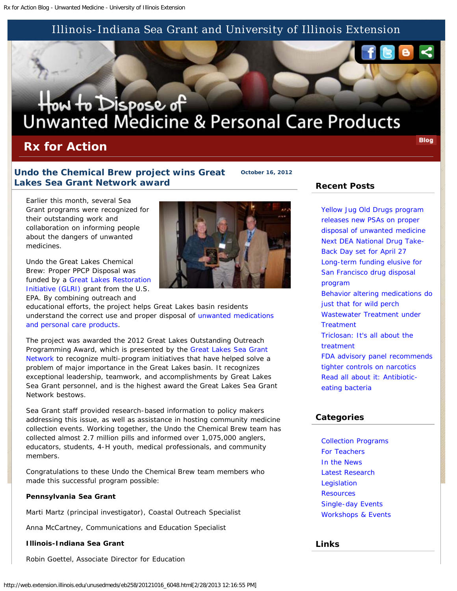## Illinois-Indiana Sea Grant and University of Illinois Extension

# How to Dispose of<br>Unwanted Medicine & Personal Care Products

# **Rx for Action**

**Blog** 

## **Undo the Chemical Brew project wins Great Lakes Sea Grant Network award**

**October 16, 2012**

Earlier this month, several Sea Grant programs were recognized for their outstanding work and collaboration on informing people about the dangers of unwanted medicines.

*Undo the Great Lakes Chemical Brew: Proper PPCP Disposal* was funded by a [Great Lakes Restoration](http://www.glri.us/) [Initiative \(GLRI\)](http://www.glri.us/) grant from the U.S. EPA. By combining outreach and

educational efforts, the project helps Great Lakes basin residents understand the correct use and proper disposal of [unwanted medications](http://unwantedmeds.org/) [and personal care products](http://unwantedmeds.org/).

The project was awarded the 2012 Great Lakes Outstanding Outreach Programming Award, which is presented by the [Great Lakes Sea Grant](http://www.miseagrant.umich.edu/greatlakes/) [Network](http://www.miseagrant.umich.edu/greatlakes/) to recognize multi-program initiatives that have helped solve a problem of major importance in the Great Lakes basin. It recognizes exceptional leadership, teamwork, and accomplishments by Great Lakes Sea Grant personnel, and is the highest award the Great Lakes Sea Grant Network bestows.

Sea Grant staff provided research-based information to policy makers addressing this issue, as well as assistance in hosting community medicine collection events. Working together, the *Undo the Chemical Brew* team has collected almost 2.7 million pills and informed over 1,075,000 anglers, educators, students, 4-H youth, medical professionals, and community members.

Congratulations to these *Undo the Chemical Brew* team members who made this successful program possible:

#### **Pennsylvania Sea Grant**

Marti Martz (principal investigator), Coastal Outreach Specialist

Anna McCartney, Communications and Education Specialist

#### **Illinois-Indiana Sea Grant**

Robin Goettel, Associate Director for Education



#### **Recent Posts**

[Yellow Jug Old Drugs program](http://web.extension.uiuc.edu/unusedmeds/eb258/20130226_6500.html) [releases new PSAs on proper](http://web.extension.uiuc.edu/unusedmeds/eb258/20130226_6500.html) [disposal of unwanted medicine](http://web.extension.uiuc.edu/unusedmeds/eb258/20130226_6500.html) [Next DEA National Drug Take-](http://web.extension.uiuc.edu/unusedmeds/eb258/20130225_6493.html)[Back Day set for April 27](http://web.extension.uiuc.edu/unusedmeds/eb258/20130225_6493.html) [Long-term funding elusive for](http://web.extension.uiuc.edu/unusedmeds/eb258/20130220_6470.html) [San Francisco drug disposal](http://web.extension.uiuc.edu/unusedmeds/eb258/20130220_6470.html) [program](http://web.extension.uiuc.edu/unusedmeds/eb258/20130220_6470.html) [Behavior altering medications do](http://web.extension.uiuc.edu/unusedmeds/eb258/20130218_6467.html) [just that for wild perch](http://web.extension.uiuc.edu/unusedmeds/eb258/20130218_6467.html) [Wastewater Treatment under](http://web.extension.uiuc.edu/unusedmeds/eb258/20130211_6445.html) **[Treatment](http://web.extension.uiuc.edu/unusedmeds/eb258/20130211_6445.html)** [Triclosan: It's all about the](http://web.extension.uiuc.edu/unusedmeds/eb258/20130129_6407.html) [treatment](http://web.extension.uiuc.edu/unusedmeds/eb258/20130129_6407.html) [FDA advisory panel recommends](http://web.extension.uiuc.edu/unusedmeds/eb258/20130128_6263.html) [tighter controls on narcotics](http://web.extension.uiuc.edu/unusedmeds/eb258/20130128_6263.html) [Read all about it: Antibiotic](http://web.extension.uiuc.edu/unusedmeds/eb258/20130124_6394.html)[eating bacteria](http://web.extension.uiuc.edu/unusedmeds/eb258/20130124_6394.html)

#### **Categories**

[Collection Programs](http://web.extension.illinois.edu/unusedmeds/eb258/category_128.html) [For Teachers](http://web.extension.illinois.edu/unusedmeds/eb258/category_141.html) [In the News](http://web.extension.illinois.edu/unusedmeds/eb258/category_132.html) [Latest Research](http://web.extension.illinois.edu/unusedmeds/eb258/category_133.html) **[Legislation](http://web.extension.illinois.edu/unusedmeds/eb258/category_130.html) [Resources](http://web.extension.illinois.edu/unusedmeds/eb258/category_131.html)** [Single-day Events](http://web.extension.illinois.edu/unusedmeds/eb258/category_129.html) [Workshops & Events](http://web.extension.illinois.edu/unusedmeds/eb258/category_140.html)

#### **Links**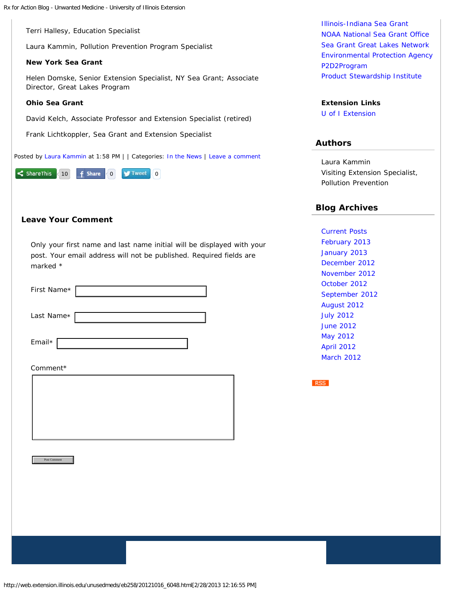Terri Hallesy, Education Specialist

Laura Kammin, Pollution Prevention Program Specialist

#### **New York Sea Grant**

Helen Domske, Senior Extension Specialist, NY Sea Grant; Associate Director, Great Lakes Program

#### **Ohio Sea Grant**

David Kelch, Associate Professor and Extension Specialist (retired)

Frank Lichtkoppler, Sea Grant and Extension Specialist

Posted by [Laura Kammin](http://web.extension.illinois.edu/state/contactus.cfm?StaffID=1418) at 1:58 PM | | Categories: [In the News](http://web.extension.illinois.edu/unusedmeds/eb258/category_132.html) | [Leave a comment](http://web.extension.uiuc.edu/unusedmeds/eb258/20121016_6048.html#commentform)



#### **Leave Your Comment**

Only your first name and last name initial will be displayed with your post. Your email address will not be published. Required fields are marked \*

| First Name*        |  |
|--------------------|--|
| Last Name*         |  |
| Email $*$ $\lceil$ |  |
| Comment*           |  |
|                    |  |
| Post Comment       |  |
|                    |  |
|                    |  |
|                    |  |

[Illinois-Indiana Sea Grant](http://www.iisgcp.org/) [NOAA National Sea Grant Office](http://www.seagrant.noaa.gov/) [Sea Grant Great Lakes Network](http://www.miseagrant.umich.edu/greatlakes/) [Environmental Protection Agency](http://www.epa.gov/ppcp/) [P2D2Program](http://www.p2d2program.org/index1.html) [Product Stewardship Institute](http://productstewardship.us/displaycommon.cfm?an=1&subarticlenbr=181)

### **Extension Links**

[U of I Extension](http://www.extension.illinois.edu/)

#### **Authors**

Laura Kammin Visiting Extension Specialist, Pollution Prevention

#### **Blog Archives**

[Current Posts](http://web.extension.illinois.edu/unusedmeds/eb258/) [February 2013](http://web.extension.illinois.edu/unusedmeds/eb258/201302.html) [January 2013](http://web.extension.illinois.edu/unusedmeds/eb258/201301.html) [December 2012](http://web.extension.illinois.edu/unusedmeds/eb258/201212.html) [November 2012](http://web.extension.illinois.edu/unusedmeds/eb258/201211.html) [October 2012](http://web.extension.illinois.edu/unusedmeds/eb258/201210.html) [September 2012](http://web.extension.illinois.edu/unusedmeds/eb258/201209.html) [August 2012](http://web.extension.illinois.edu/unusedmeds/eb258/201208.html) [July 2012](http://web.extension.illinois.edu/unusedmeds/eb258/201207.html) [June 2012](http://web.extension.illinois.edu/unusedmeds/eb258/201206.html) [May 2012](http://web.extension.illinois.edu/unusedmeds/eb258/201205.html) [April 2012](http://web.extension.illinois.edu/unusedmeds/eb258/201204.html) [March 2012](http://web.extension.illinois.edu/unusedmeds/eb258/201203.html)

**RSS**